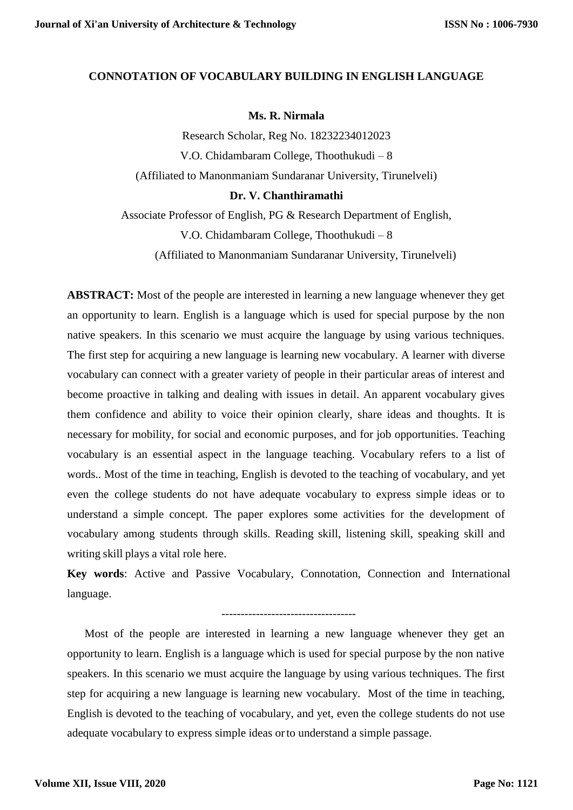## **CONNOTATION OF VOCABULARY BUILDING IN ENGLISH LANGUAGE**

## **Ms. R. Nirmala**

Research Scholar, Reg No. 18232234012023 V.O. Chidambaram College, Thoothukudi – 8 (Affiliated to Manonmaniam Sundaranar University, Tirunelveli)

## **Dr. V. Chanthiramathi**

Associate Professor of English, PG & Research Department of English, V.O. Chidambaram College, Thoothukudi – 8 (Affiliated to Manonmaniam Sundaranar University, Tirunelveli)

**ABSTRACT:** Most of the people are interested in learning a new language whenever they get an opportunity to learn. English is a language which is used for special purpose by the non native speakers. In this scenario we must acquire the language by using various techniques. The first step for acquiring a new language is learning new vocabulary. A learner with diverse vocabulary can connect with a greater variety of people in their particular areas of interest and become proactive in talking and dealing with issues in detail. An apparent vocabulary gives them confidence and ability to voice their opinion clearly, share ideas and thoughts. It is necessary for mobility, for social and economic purposes, and for job opportunities. Teaching vocabulary is an essential aspect in the language teaching. Vocabulary refers to a list of words.. Most of the time in teaching, English is devoted to the teaching of vocabulary, and yet even the college students do not have adequate vocabulary to express simple ideas or to understand a simple concept. The paper explores some activities for the development of vocabulary among students through skills. Reading skill, listening skill, speaking skill and writing skill plays a vital role here.

**Key words**: Active and Passive Vocabulary, Connotation, Connection and International language.

-----------------------------------

Most of the people are interested in learning a new language whenever they get an opportunity to learn. English is a language which is used for special purpose by the non native speakers. In this scenario we must acquire the language by using various techniques. The first step for acquiring a new language is learning new vocabulary. Most of the time in teaching, English is devoted to the teaching of vocabulary, and yet, even the college students do not use adequate vocabulary to express simple ideas orto understand a simple passage.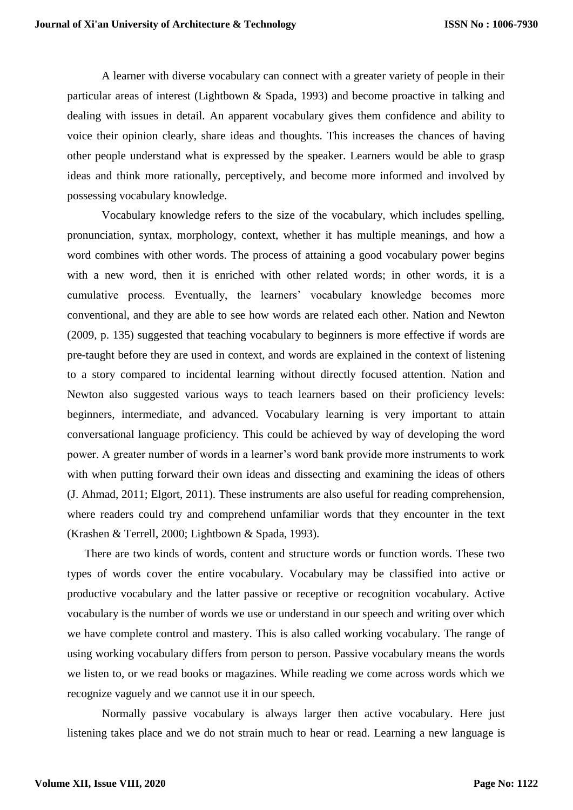A learner with diverse vocabulary can connect with a greater variety of people in their particular areas of interest (Lightbown & Spada, 1993) and become proactive in talking and dealing with issues in detail. An apparent vocabulary gives them confidence and ability to voice their opinion clearly, share ideas and thoughts. This increases the chances of having other people understand what is expressed by the speaker. Learners would be able to grasp ideas and think more rationally, perceptively, and become more informed and involved by possessing vocabulary knowledge.

Vocabulary knowledge refers to the size of the vocabulary, which includes spelling, pronunciation, syntax, morphology, context, whether it has multiple meanings, and how a word combines with other words. The process of attaining a good vocabulary power begins with a new word, then it is enriched with other related words; in other words, it is a cumulative process. Eventually, the learners' vocabulary knowledge becomes more conventional, and they are able to see how words are related each other. Nation and Newton (2009, p. 135) suggested that teaching vocabulary to beginners is more effective if words are pre-taught before they are used in context, and words are explained in the context of listening to a story compared to incidental learning without directly focused attention. Nation and Newton also suggested various ways to teach learners based on their proficiency levels: beginners, intermediate, and advanced. Vocabulary learning is very important to attain conversational language proficiency. This could be achieved by way of developing the word power. A greater number of words in a learner's word bank provide more instruments to work with when putting forward their own ideas and dissecting and examining the ideas of others (J. Ahmad, 2011; Elgort, 2011). These instruments are also useful for reading comprehension, where readers could try and comprehend unfamiliar words that they encounter in the text (Krashen & Terrell, 2000; Lightbown & Spada, 1993).

There are two kinds of words, content and structure words or function words. These two types of words cover the entire vocabulary. Vocabulary may be classified into active or productive vocabulary and the latter passive or receptive or recognition vocabulary. Active vocabulary is the number of words we use or understand in our speech and writing over which we have complete control and mastery. This is also called working vocabulary. The range of using working vocabulary differs from person to person. Passive vocabulary means the words we listen to, or we read books or magazines. While reading we come across words which we recognize vaguely and we cannot use it in our speech.

Normally passive vocabulary is always larger then active vocabulary. Here just listening takes place and we do not strain much to hear or read. Learning a new language is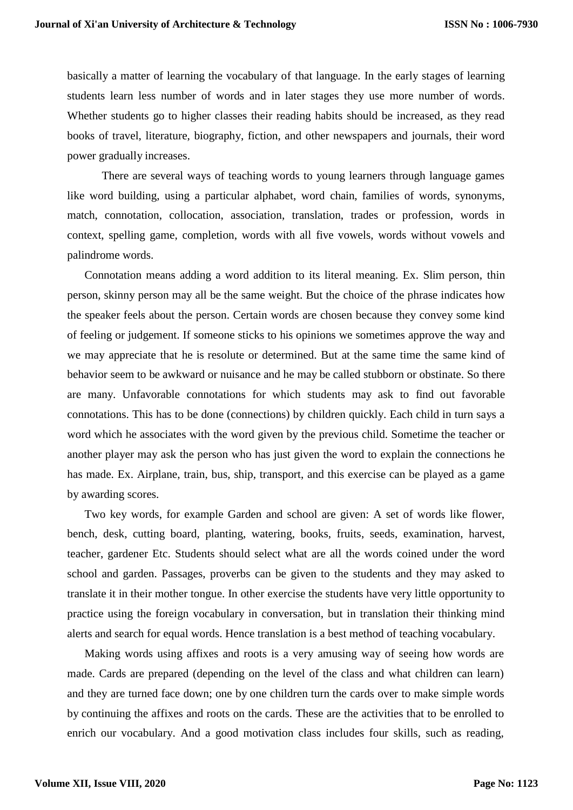basically a matter of learning the vocabulary of that language. In the early stages of learning students learn less number of words and in later stages they use more number of words. Whether students go to higher classes their reading habits should be increased, as they read books of travel, literature, biography, fiction, and other newspapers and journals, their word power gradually increases.

There are several ways of teaching words to young learners through language games like word building, using a particular alphabet, word chain, families of words, synonyms, match, connotation, collocation, association, translation, trades or profession, words in context, spelling game, completion, words with all five vowels, words without vowels and palindrome words.

Connotation means adding a word addition to its literal meaning. Ex. Slim person, thin person, skinny person may all be the same weight. But the choice of the phrase indicates how the speaker feels about the person. Certain words are chosen because they convey some kind of feeling or judgement. If someone sticks to his opinions we sometimes approve the way and we may appreciate that he is resolute or determined. But at the same time the same kind of behavior seem to be awkward or nuisance and he may be called stubborn or obstinate. So there are many. Unfavorable connotations for which students may ask to find out favorable connotations. This has to be done (connections) by children quickly. Each child in turn says a word which he associates with the word given by the previous child. Sometime the teacher or another player may ask the person who has just given the word to explain the connections he has made. Ex. Airplane, train, bus, ship, transport, and this exercise can be played as a game by awarding scores.

Two key words, for example Garden and school are given: A set of words like flower, bench, desk, cutting board, planting, watering, books, fruits, seeds, examination, harvest, teacher, gardener Etc. Students should select what are all the words coined under the word school and garden. Passages, proverbs can be given to the students and they may asked to translate it in their mother tongue. In other exercise the students have very little opportunity to practice using the foreign vocabulary in conversation, but in translation their thinking mind alerts and search for equal words. Hence translation is a best method of teaching vocabulary.

Making words using affixes and roots is a very amusing way of seeing how words are made. Cards are prepared (depending on the level of the class and what children can learn) and they are turned face down; one by one children turn the cards over to make simple words by continuing the affixes and roots on the cards. These are the activities that to be enrolled to enrich our vocabulary. And a good motivation class includes four skills, such as reading,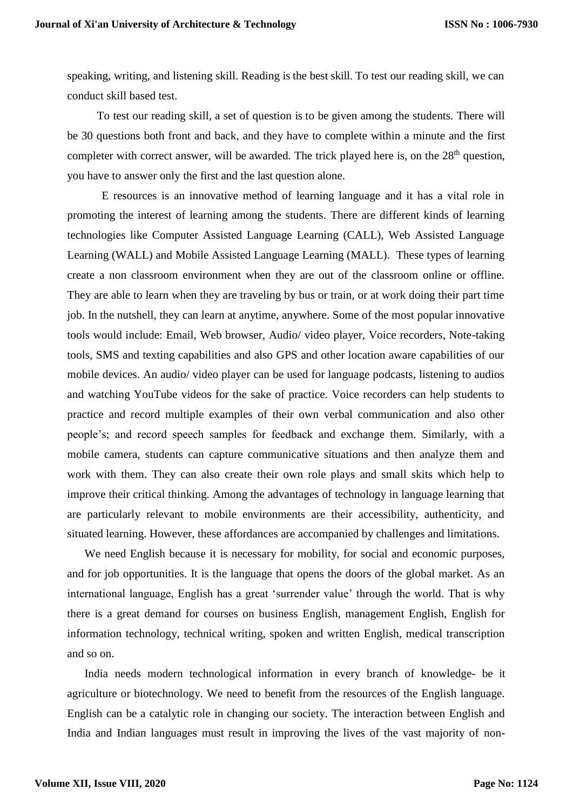speaking, writing, and listening skill. Reading is the best skill. To test our reading skill, we can conduct skill based test.

To test our reading skill, a set of question is to be given among the students. There will be 30 questions both front and back, and they have to complete within a minute and the first completer with correct answer, will be awarded. The trick played here is, on the  $28<sup>th</sup>$  question, you have to answer only the first and the last question alone.

E resources is an innovative method of learning language and it has a vital role in promoting the interest of learning among the students. There are different kinds of learning technologies like Computer Assisted Language Learning (CALL), Web Assisted Language Learning (WALL) and Mobile Assisted Language Learning (MALL). These types of learning create a non classroom environment when they are out of the classroom online or offline. They are able to learn when they are traveling by bus or train, or at work doing their part time job. In the nutshell, they can learn at anytime, anywhere. Some of the most popular innovative tools would include: Email, Web browser, Audio/ video player, Voice recorders, Note-taking tools, SMS and texting capabilities and also GPS and other location aware capabilities of our mobile devices. An audio/ video player can be used for language podcasts, listening to audios and watching YouTube videos for the sake of practice. Voice recorders can help students to practice and record multiple examples of their own verbal communication and also other people's; and record speech samples for feedback and exchange them. Similarly, with a mobile camera, students can capture communicative situations and then analyze them and work with them. They can also create their own role plays and small skits which help to improve their critical thinking. Among the advantages of technology in language learning that are particularly relevant to mobile environments are their accessibility, authenticity, and situated learning. However, these affordances are accompanied by challenges and limitations.

We need English because it is necessary for mobility, for social and economic purposes, and for job opportunities. It is the language that opens the doors of the global market. As an international language, English has a great 'surrender value' through the world. That is why there is a great demand for courses on business English, management English, English for information technology, technical writing, spoken and written English, medical transcription and so on.

India needs modern technological information in every branch of knowledge- be it agriculture or biotechnology. We need to benefit from the resources of the English language. English can be a catalytic role in changing our society. The interaction between English and India and Indian languages must result in improving the lives of the vast majority of non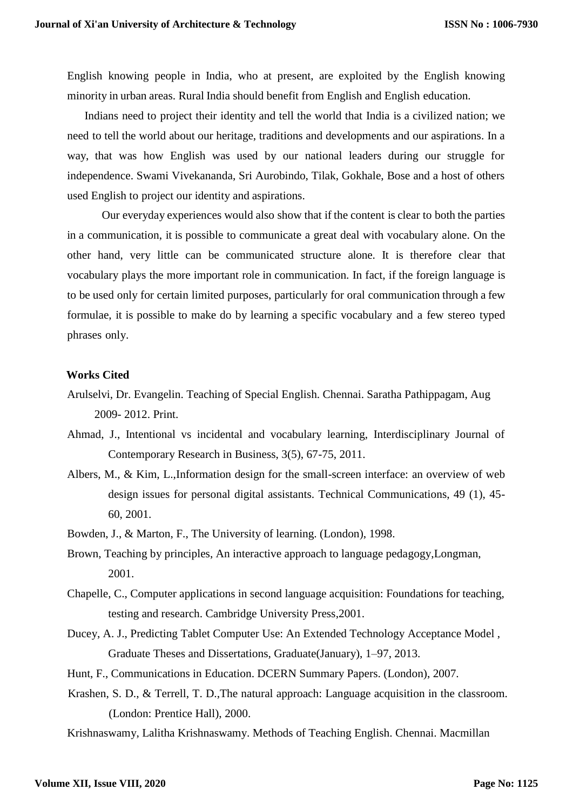English knowing people in India, who at present, are exploited by the English knowing minority in urban areas. Rural India should benefit from English and English education.

Indians need to project their identity and tell the world that India is a civilized nation; we need to tell the world about our heritage, traditions and developments and our aspirations. In a way, that was how English was used by our national leaders during our struggle for independence. Swami Vivekananda, Sri Aurobindo, Tilak, Gokhale, Bose and a host of others used English to project our identity and aspirations.

Our everyday experiences would also show that if the content is clear to both the parties in a communication, it is possible to communicate a great deal with vocabulary alone. On the other hand, very little can be communicated structure alone. It is therefore clear that vocabulary plays the more important role in communication. In fact, if the foreign language is to be used only for certain limited purposes, particularly for oral communication through a few formulae, it is possible to make do by learning a specific vocabulary and a few stereo typed phrases only.

## **Works Cited**

- Arulselvi, Dr. Evangelin. Teaching of Special English. Chennai. Saratha Pathippagam, Aug 2009- 2012. Print.
- Ahmad, J., Intentional vs incidental and vocabulary learning, Interdisciplinary Journal of Contemporary Research in Business, 3(5), 67-75, 2011.
- Albers, M., & Kim, L.,Information design for the small-screen interface: an overview of web design issues for personal digital assistants. Technical Communications, 49 (1), 45- 60, 2001.
- Bowden, J., & Marton, F., The University of learning. (London), 1998.
- Brown, Teaching by principles, An interactive approach to language pedagogy,Longman, 2001.
- Chapelle, C., Computer applications in second language acquisition: Foundations for teaching, testing and research. Cambridge University Press,2001.
- Ducey, A. J., Predicting Tablet Computer Use: An Extended Technology Acceptance Model , Graduate Theses and Dissertations, Graduate(January), 1–97, 2013.
- Hunt, F., Communications in Education. DCERN Summary Papers. (London), 2007.
- Krashen, S. D., & Terrell, T. D.,The natural approach: Language acquisition in the classroom. (London: Prentice Hall), 2000.
- Krishnaswamy, Lalitha Krishnaswamy. Methods of Teaching English. Chennai. Macmillan